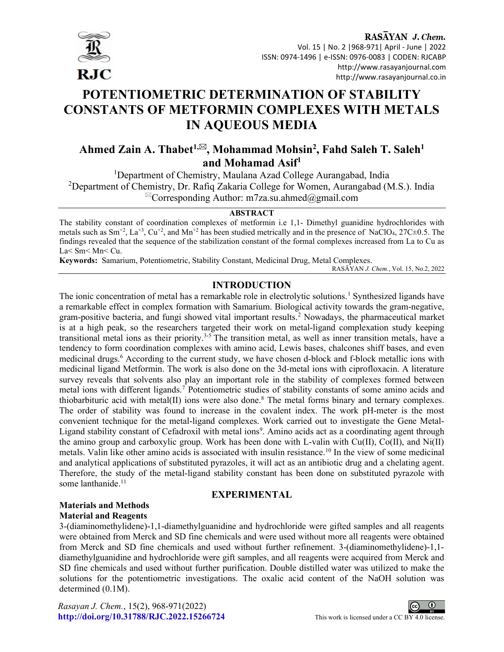

RASAYAN J. Chem. Vol. 15 | No. 2 |968-971| April - June | 2022 ISSN: 0974-1496 | e-ISSN: 0976-0083 | CODEN: RJCABP http://www.rasayanjournal.com http://www.rasayanjournal.co.in

# POTENTIOMETRIC DETERMINATION OF STABILITY CONSTANTS OF METFORMIN COMPLEXES WITH METALS IN AQUEOUS MEDIA

# Ahmed Zain A. Thabet<sup>1, $\boxtimes$ </sup>, Mohammad Mohsin<sup>2</sup>, Fahd Saleh T. Saleh<sup>1</sup> and Mohamad Asif<sup>1</sup>

<sup>1</sup>Department of Chemistry, Maulana Azad College Aurangabad, India <sup>2</sup>Department of Chemistry, Dr. Rafiq Zakaria College for Women, Aurangabad (M.S.). India  ${}^{\boxtimes}$ Corresponding Author: m7za.su.ahmed@gmail.com

### **ABSTRACT**

The stability constant of coordination complexes of metformin i.e 1,1- Dimethyl guanidine hydrochlorides with metals such as  $Sm^{+2}$ , La<sup>+3</sup>, Cu<sup>+2</sup>, and Mn<sup>+2</sup> has been studied metrically and in the presence of NaClO<sub>4</sub>, 27C $\pm$ 0.5. The findings revealed that the sequence of the stabilization constant of the formal complexes increased from La to Cu as La< Sm< Mn< Cu.

Keywords: Samarium, Potentiometric, Stability Constant, Medicinal Drug, Metal Complexes. RASĀYAN J. Chem., Vol. 15, No.2, 2022

# INTRODUCTION

The ionic concentration of metal has a remarkable role in electrolytic solutions.<sup>1</sup> Synthesized ligands have a remarkable effect in complex formation with Samarium. Biological activity towards the gram-negative, gram-positive bacteria, and fungi showed vital important results.<sup>2</sup> Nowadays, the pharmaceutical market is at a high peak, so the researchers targeted their work on metal-ligand complexation study keeping transitional metal ions as their priority.<sup>3-5</sup> The transition metal, as well as inner transition metals, have a tendency to form coordination complexes with amino acid, Lewis bases, chalcones shiff bases, and even medicinal drugs.<sup>6</sup> According to the current study, we have chosen d-block and f-block metallic ions with medicinal ligand Metformin. The work is also done on the 3d-metal ions with ciprofloxacin. A literature survey reveals that solvents also play an important role in the stability of complexes formed between metal ions with different ligands.<sup>7</sup> Potentiometric studies of stability constants of some amino acids and thiobarbituric acid with metal(II) ions were also done.<sup>8</sup> The metal forms binary and ternary complexes. The order of stability was found to increase in the covalent index. The work pH-meter is the most convenient technique for the metal-ligand complexes. Work carried out to investigate the Gene Metal-Ligand stability constant of Cefadroxil with metal ions<sup>9</sup>. Amino acids act as a coordinating agent through the amino group and carboxylic group. Work has been done with L-valin with  $Cu(II)$ ,  $Co(II)$ , and  $Ni(II)$ metals. Valin like other amino acids is associated with insulin resistance.<sup>10</sup> In the view of some medicinal and analytical applications of substituted pyrazoles, it will act as an antibiotic drug and a chelating agent. Therefore, the study of the metal-ligand stability constant has been done on substituted pyrazole with some lanthanide.<sup>11</sup>

# EXPERIMENTAL

# Materials and Methods Material and Reagents

3-(diaminomethylidene)-1,1-diamethylguanidine and hydrochloride were gifted samples and all reagents were obtained from Merck and SD fine chemicals and were used without more all reagents were obtained from Merck and SD fine chemicals and used without further refinement. 3-(diaminomethylidene)-1,1 diamethylguanidine and hydrochloride were gift samples, and all reagents were acquired from Merck and SD fine chemicals and used without further purification. Double distilled water was utilized to make the solutions for the potentiometric investigations. The oxalic acid content of the NaOH solution was determined (0.1M).

Rasayan J. Chem., 15(2), 968-971(2022) http://doi.org/10.31788/RJC.2022.15266724 This work is licensed under a CC BY 4.0 license.

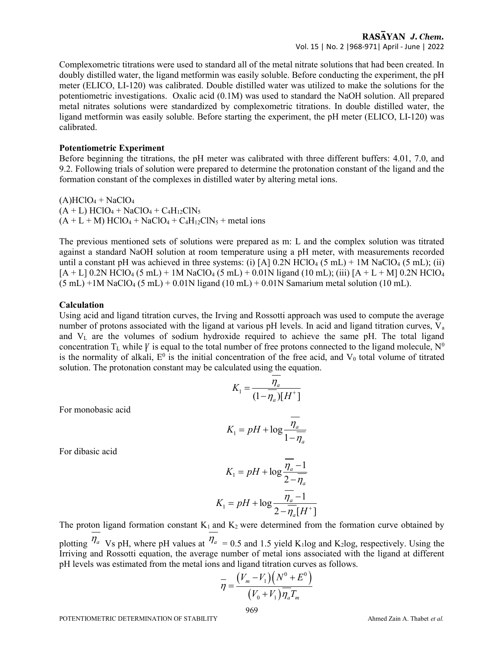Complexometric titrations were used to standard all of the metal nitrate solutions that had been created. In doubly distilled water, the ligand metformin was easily soluble. Before conducting the experiment, the pH meter (ELICO, LI-120) was calibrated. Double distilled water was utilized to make the solutions for the potentiometric investigations. Oxalic acid (0.1M) was used to standard the NaOH solution. All prepared metal nitrates solutions were standardized by complexometric titrations. In double distilled water, the ligand metformin was easily soluble. Before starting the experiment, the pH meter (ELICO, LI-120) was calibrated.

#### Potentiometric Experiment

Before beginning the titrations, the pH meter was calibrated with three different buffers: 4.01, 7.0, and 9.2. Following trials of solution were prepared to determine the protonation constant of the ligand and the formation constant of the complexes in distilled water by altering metal ions.

 $(A)$ HClO<sub>4</sub> + NaClO<sub>4</sub>  $(A + L)$  HClO<sub>4</sub> + NaClO<sub>4</sub> + C<sub>4</sub>H<sub>12</sub>ClN<sub>5</sub>  $(A + L + M)$  HClO<sub>4</sub> + NaClO<sub>4</sub> + C<sub>4</sub>H<sub>12</sub>ClN<sub>5</sub> + metal ions

The previous mentioned sets of solutions were prepared as m: L and the complex solution was titrated against a standard NaOH solution at room temperature using a pH meter, with measurements recorded until a constant pH was achieved in three systems: (i) [A]  $0.2N$  HClO<sub>4</sub> (5 mL) + 1M NaClO<sub>4</sub> (5 mL); (ii)  $[A + L]$  0.2N HClO<sub>4</sub> (5 mL) + 1M NaClO<sub>4</sub> (5 mL) + 0.01N ligand (10 mL); (iii)  $[A + L + M]$  0.2N HClO<sub>4</sub>  $(5 \text{ mL}) +1$ M NaClO<sub>4</sub>  $(5 \text{ mL}) + 0.01$ N ligand  $(10 \text{ mL}) + 0.01$ N Samarium metal solution  $(10 \text{ mL})$ .

#### Calculation

Using acid and ligand titration curves, the Irving and Rossotti approach was used to compute the average number of protons associated with the ligand at various pH levels. In acid and ligand titration curves,  $V_a$ and  $V<sub>L</sub>$  are the volumes of sodium hydroxide required to achieve the same pH. The total ligand concentration  $T_L$  while  $\gamma$  is equal to the total number of free protons connected to the ligand molecule, N<sup>0</sup> is the normality of alkali,  $E^0$  is the initial concentration of the free acid, and  $V_0$  total volume of titrated solution. The protonation constant may be calculated using the equation.

$$
K_1 = \frac{\eta_a}{(1 - \overline{\eta_a})[H^+]}
$$

For monobasic acid

$$
K_1 = pH + \log \frac{\overline{\eta_a}}{1 - \overline{\eta_a}}
$$

For dibasic acid

$$
K_1 = pH + \log \frac{\overline{\eta_a} - 1}{2 - \overline{\eta_a}}
$$

$$
K_1 = pH + \log \frac{\overline{\eta_a} - 1}{2 - \overline{\eta_a}[H^+]}
$$

The proton ligand formation constant  $K_1$  and  $K_2$  were determined from the formation curve obtained by plotting  $\eta_a$  Vs pH, where pH values at  $\eta_a$  = 0.5 and 1.5 yield K<sub>1</sub>log and K<sub>2</sub>log, respectively. Using the Irriving and Rossotti equation, the average number of metal ions associated with the ligand at different pH levels was estimated from the metal ions and ligand titration curves as follows.  $\frac{\eta_a}{(1-\overline{\eta}_a)[H^+]}$ <br>  $pH + \log \frac{\overline{\eta_a}}{1-\overline{\eta_a}}$ <br>  $pH + \log \frac{\overline{\eta_a}-1}{2-\overline{\eta_a}}$ <br>  $I + \log \frac{\overline{\eta_a}-1}{2-\overline{\eta_a}[H^+]}$ <br>  $I + \log \frac{\overline{\eta_a}-1}{2-\overline{\eta_a}[H^+]}$ <br>  $I + \log \frac{\overline{\eta_a}-1}{2-\overline{\eta_a}[H^+]}$ <br>  $I + \log \frac{\overline{\eta_a}-1}{2-\overline{\eta_a}[H^+]}$ <br>  $I + \log \frac{\overline{\eta_a}-1}{2-\$ 

$$
\overline{\eta} = \frac{\left(V_m - V_1\right)\left(N^0 + E^0\right)}{\left(V_0 + V_1\right)\overline{\eta_a}T_m}
$$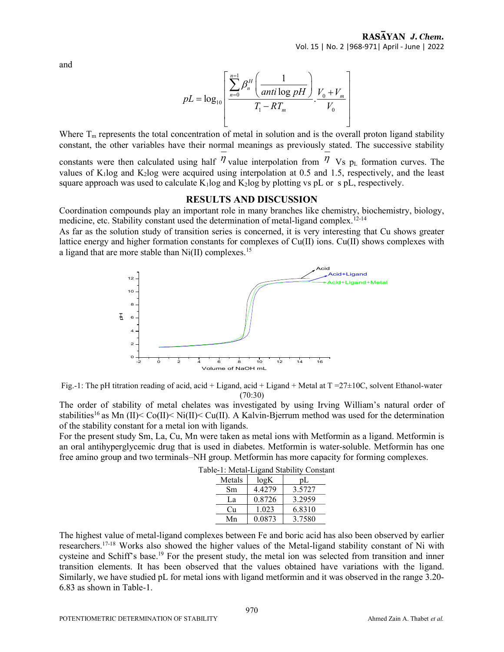and

$$
pL = \log_{10}\left[\frac{\sum_{n=0}^{n=1} \beta_n^H \left(\frac{1}{anti \log pH}\right)}{T_1 - RT_m} \cdot \frac{V_0 + V_m}{V_0}\right]
$$

Where  $T_m$  represents the total concentration of metal in solution and is the overall proton ligand stability constant, the other variables have their normal meanings as previously stated. The successive stability constants were then calculated using half  $\eta$  value interpolation from  $\eta$  Vs  $p_L$  formation curves. The values of  $K_1$ log and  $K_2$ log were acquired using interpolation at 0.5 and 1.5, respectively, and the least

#### RESULTS AND DISCUSSION

square approach was used to calculate  $K_1$ log and  $K_2$ log by plotting vs pL or s pL, respectively.

Coordination compounds play an important role in many branches like chemistry, biochemistry, biology, medicine, etc. Stability constant used the determination of metal-ligand complex.<sup>12-14</sup>

As far as the solution study of transition series is concerned, it is very interesting that Cu shows greater lattice energy and higher formation constants for complexes of Cu(II) ions. Cu(II) shows complexes with a ligand that are more stable than  $Ni(II)$  complexes.<sup>15</sup>





The order of stability of metal chelates was investigated by using Irving William's natural order of stabilities<sup>16</sup> as Mn (II)< Co(II)< Ni(II)< Cu(II). A Kalvin-Bjerrum method was used for the determination of the stability constant for a metal ion with ligands.

For the present study Sm, La, Cu, Mn were taken as metal ions with Metformin as a ligand. Metformin is an oral antihyperglycemic drug that is used in diabetes. Metformin is water-soluble. Metformin has one free amino group and two terminals–NH group. Metformin has more capacity for forming complexes.

| e-1: Metai-Ligand Stability Consta |        |        |
|------------------------------------|--------|--------|
| Metals                             | log K  | pL     |
| Sm                                 | 4.4279 | 3.5727 |
| La                                 | 0.8726 | 3.2959 |
| Cu                                 | 1.023  | 6.8310 |
| Mn                                 | 0.0873 | 3.7580 |

The highest value of metal-ligand complexes between Fe and boric acid has also been observed by earlier researchers.17-18 Works also showed the higher values of the Metal-ligand stability constant of Ni with cysteine and Schiff's base.<sup>19</sup> For the present study, the metal ion was selected from transition and inner transition elements. It has been observed that the values obtained have variations with the ligand. Similarly, we have studied pL for metal ions with ligand metformin and it was observed in the range 3.20- 6.83 as shown in Table-1.